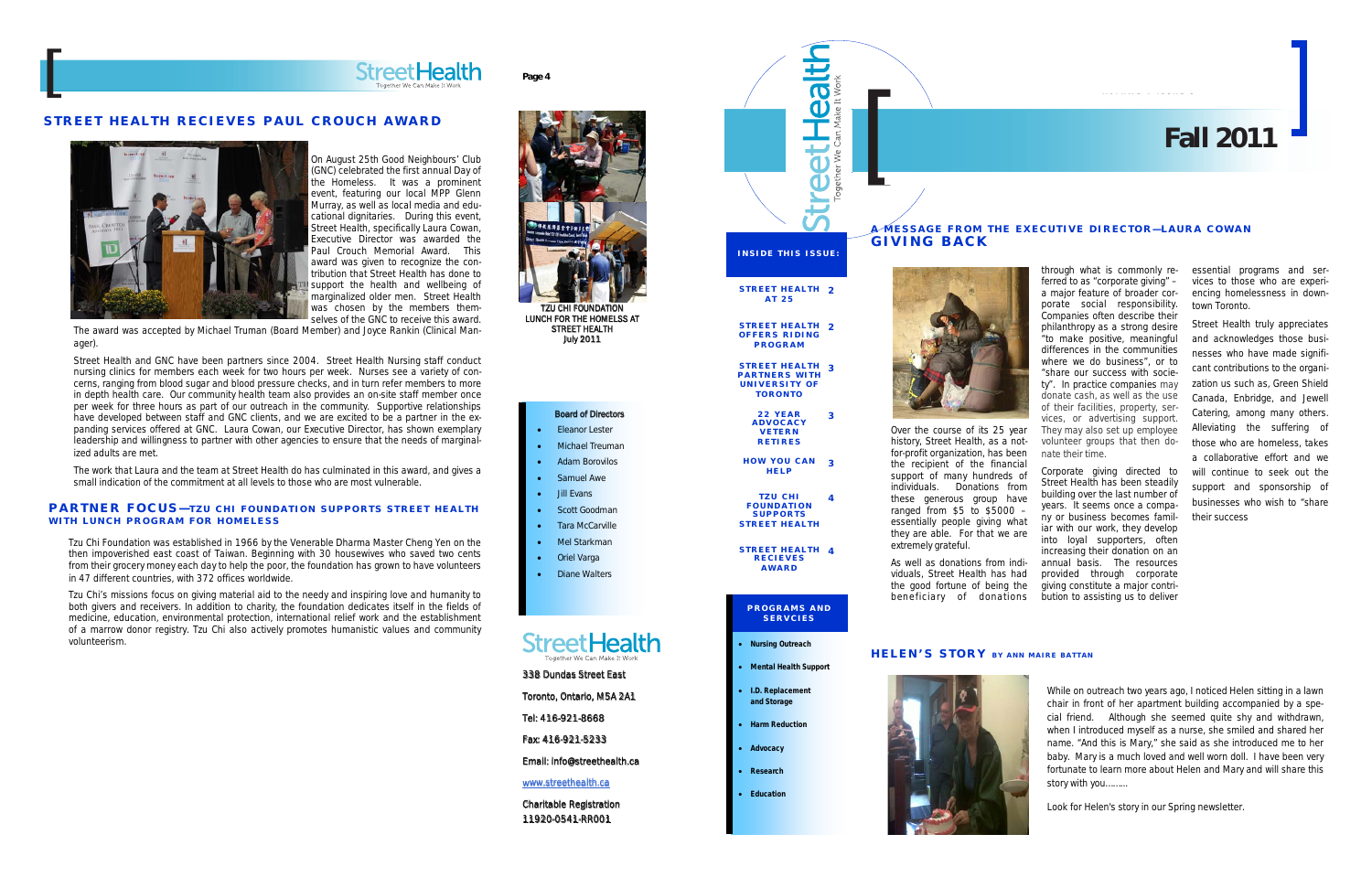essential programs and services to those who are experiencing homelessness in downtown Toronto.

Street Health truly appreciates and acknowledges those businesses who have made significant contributions to the organization us such as, Green Shield Canada, Enbridge, and Jewell Catering, among many others. Alleviating the suffering of those who are homeless, takes a collaborative effort and we will continue to seek out the support and sponsorship of businesses who wish to "share their success

Over the course of its 25 year history, Street Health, as a notfor-profit organization, has been the recipient of the financial support of many hundreds of individuals. Donations from these generous group have ranged from  $$5$  to  $$5000$ essentially people giving what they are able. For that we are extremely grateful.

As well as donations from individuals, Street Health has had the good fortune of being the beneficiary of donations

- Mental Health Support
- I.D. Replacement and Storage
	- **Harm Reduction**
	- **Advocacy**
	- Research
	-
	- **Education**

through what is commonly referred to as "corporate giving" – a major feature of broader corporate social responsibility. Companies often describe their philanthropy as a strong desire "to make positive, meaningful differences in the communities where we do business", or to "share our success with society". In practice companies may donate cash, as well as the use of their facilities, property, services, or advertising support. They may also set up employee volunteer groups that then donate their time.

Corporate giving directed to Street Health has been steadily building over the last number of years. It seems once a company or business becomes familiar with our work, they develop into loyal supporters, often increasing their donation on an annual basis. The resources provided through corporate giving constitute a major contribution to assisting us to deliver

## A MESSAGE FROM THE EXECUTIVE DIRECTOR—LAURA COWAN





## HELEN'S STORY BY ANN MAIRE BATTAN



# **Fall 2011 Fall 2011**



STREET HEALTH STREET HEALTH 4

RECIEVES AWARD

## PROGRAMS AND SERVCIES

## **Nursing Outreach**

## PARTNER FOCUS-TZU CHI FOUNDATION SUPPORTS STREET HEALTH WITH LUNCH PROGRAM FOR HOMELESS

- Eleanor Lester **Michael Treuman**
- Adam Borovilos
- Samuel Awe
- Jill Evans
- Scott Goodman
- **Tara McCarville**
- Mel Starkman
- **Oriel Varga**
- **Diane Walters**

## Street Health

While on outreach two years ago, I noticed Helen sitting in a lawn chair in front of her apartment building accompanied by a special friend. Although she seemed quite shy and withdrawn, when I introduced myself as a nurse, she smiled and shared her name. "And this is Mary," she said as she introduced me to her baby. Mary is a much loved and well worn doll. I have been very fortunate to learn more about Helen and Mary and will share this story with you……...

Look for Helen's story in our Spring newsletter.

On August 25th Good Neighbours' Club (GNC) celebrated the first annual Day of the Homeless. It was a prominent event, featuring our local MPP Glenn Murray, as well as local media and educational dignitaries. During this event, Street Health, specifically Laura Cowan, Executive Director was awarded the Paul Crouch Memorial Award. This award was given to recognize the contribution that Street Health has done to support the health and wellbeing of marginalized older men. Street Health was chosen by the members themselves of the GNC to receive this award.

The award was accepted by Michael Truman (Board Member) and Joyce Rankin (Clinical Manager).

Street Health and GNC have been partners since 2004. Street Health Nursing staff conduct nursing clinics for members each week for two hours per week. Nurses see a variety of concerns, ranging from blood sugar and blood pressure checks, and in turn refer members to more in depth health care. Our community health team also provides an on-site staff member once per week for three hours as part of our outreach in the community. Supportive relationships have developed between staff and GNC clients, and we are excited to be a partner in the expanding services offered at GNC. Laura Cowan, our Executive Director, has shown exemplary leadership and willingness to partner with other agencies to ensure that the needs of marginalized adults are met.

The work that Laura and the team at Street Health do has culminated in this award, and gives a small indication of the commitment at all levels to those who are most vulnerable.

## STREET HEALTH RECIEVES PAUL CROUCH AWARD





Page 4

## Board of Directors



LUNCH FOR THE HOMELSS AT STREET HEALTH July 2011

338 Dundas Street East

Toronto, Ontario, M5A 2A1

Tel: 416-921-8668

Fax: 416-921-5233

Email: info@streethealth.ca

www.streethealth.ca

Charitable Registration 11920-0541-RR001

Tzu Chi Foundation was established in 1966 by the Venerable Dharma Master Cheng Yen on the then impoverished east coast of Taiwan. Beginning with 30 housewives who saved two cents from their grocery money each day to help the poor, the foundation has grown to have volunteers in 47 different countries, with 372 offices worldwide.

Tzu Chi's missions focus on giving material aid to the needy and inspiring love and humanity to both givers and receivers. In addition to charity, the foundation dedicates itself in the fields of medicine, education, environmental protection, international relief work and the establishment of a marrow donor registry. Tzu Chi also actively promotes humanistic values and community volunteerism.

[